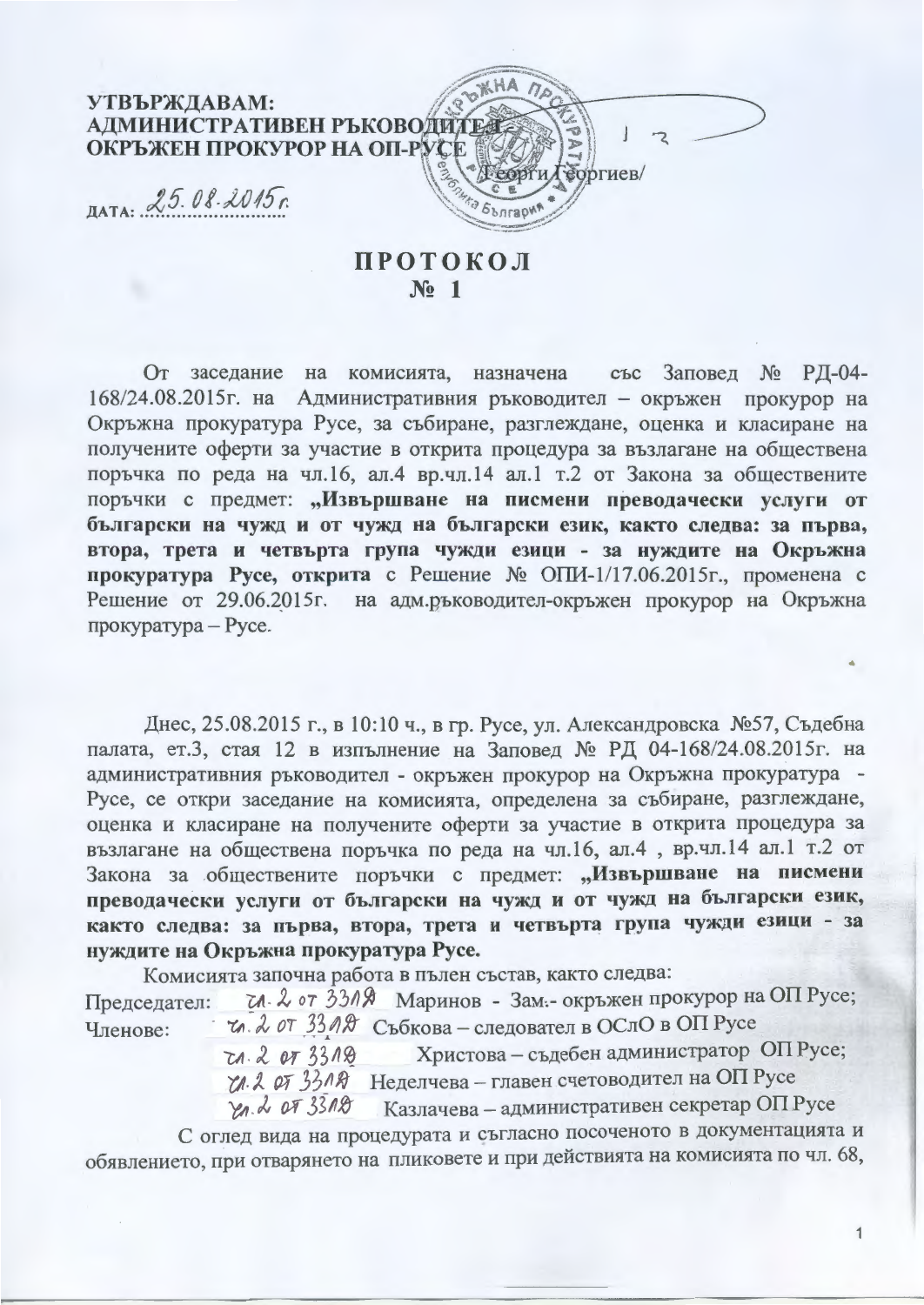

## **ПРОТОКОЛ**  $N<sub>0</sub>$  1

От заседание на комисията, назначена със Заповед № РД-04-168/24.08.2015 г. на Административния ръководител - окръжен прокурор на Окръжна прокуратура Русе, за събиране, разглеждане, оценка и класиране на получените оферти за участие в открита процедура за възлагане на обществена поръчка по реда на чл.16, ал.4 вр.чл.14 ал.1 т.2 от Закона за обществените поръчки с предмет: "Извършване на писмени преводачески услуги от български на чужд и от чужд на български език, както следва: за първа, втора, трета и четвърта група чужди езици - за нуждите на Окръжна прокуратура Русе, открита с Решение № ОПИ-1/17.06.2015г., променена с Решение от 29.06.2015г. на адм.ръководител-окръжен прокурор на Окръжна прокуратура - Русе.

Днес, 25.08.2015 г., в 10:10 ч., в гр. Русе, ул. Александровска №57, Съдебна палата, ет.3, стая 12 в изпълнение на Заповед № РД 04-168/24.08.2015г. на административния ръководител - окръжен прокурор на Окръжна прокуратура -Русе, се откри заседание на комисията, определена за събиране, разглеждане, оценка и класиране на получените оферти за участие в открита процедура за възлагане на обществена поръчка по реда на чл.16, ал.4, вр.чл.14 ал.1 т.2 от Закона за обществените поръчки с предмет: "Извършване на писмени преводачески услуги от български на чужд и от чужд на български език, както следва: за първа, втора, трета и четвърта група чужди езици - за нуждите на Окръжна прокуратура Русе.

Комисията започна работа в пълен състав, както следва: тл. 2 от 3319 Маринов - Зам.- окръжен прокурор на ОП Русе; Председател:

и. 2 от 33 ля Събкова - следовател в ОСлО в ОП Русе Членове:

Христова - съдебен администратор ОП Русе;  $20 - 2073318$ U. 2 от 33 л В Неделчева - главен счетоводител на ОП Русе Yn. 2 OF 3318 Казлачева - административен секретар ОП Русе

С оглед вида на процедурата и съгласно посоченото в документацията и обявлението, при отварянето на пликовете и при действията на комисията по чл. 68,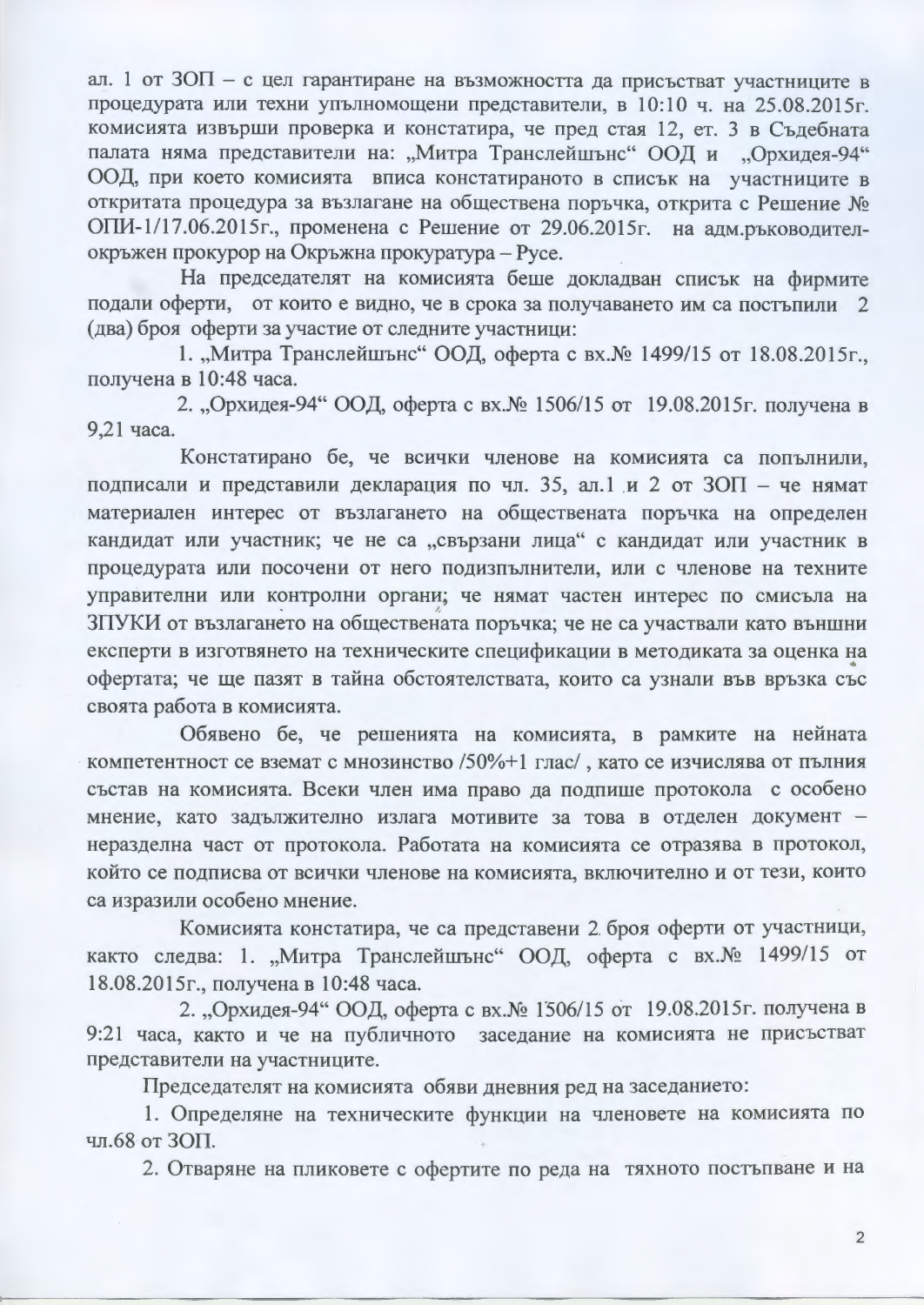ал. 1 от ЗОП - с цел гарантиране на възможността да присъстват участниците в процедурата или техни упълномощени представители, в 10:10 ч. на 25.08.2015г. комисията извърши проверка и констатира, че пред стая 12, ет. 3 в Съдебната палата няма представители на: "Митра Транслейшънс" ООД и "Орхидея-94" ООД, при което комисията вписа констатираното в списък на участниците в откритата процедура за възлагане на обществена поръчка, открита с Решение № ОПИ-1/17.06.2015г., променена с Решение от 29.06.2015г. на адм.ръководителокръжен прокурор на Окръжна прокуратура - Русе.

На председателят на комисията беше докладван списък на фирмите подали оферти, от които е видно, че в срока за получаването им са постъпили 2 (два) броя оферти за участие от следните участници:

1. "Митра Транслейшънс" ООД, оферта с вх. № 1499/15 от 18.08.2015г., получена в 10:48 часа.

2. "Орхидея-94" ООД, оферта с вх. № 1506/15 от 19.08.2015г. получена в 9,21 часа.

Констатирано бе, че всички членове на комисията са попълнили, подписали и представили декларация по чл. 35, ал.1 и 2 от ЗОП - че нямат материален интерес от възлагането на обществената поръчка на определен кандидат или участник; че не са "свързани лица" с кандидат или участник в процедурата или посочени от него подизпълнители, или с членове на техните управителни или контролни органи; че нямат частен интерес по смисъла на ЗПУКИ от възлагането на обществената поръчка; че не са участвали като външни експерти в изготвянето на техническите спецификации в методиката за оценка на офертата; че ще пазят в тайна обстоятелствата, които са узнали във връзка със своята работа в комисията.

Обявено бе, че решенията на комисията, в рамките на нейната компетентност се вземат с мнозинство /50%+1 глас/, като се изчислява от пълния състав на комисията. Всеки член има право да подпише протокола с особено мнение, като задължително излага мотивите за това в отделен документ неразделна част от протокола. Работата на комисията се отразява в протокол, който се подписва от всички членове на комисията, включително и от тези, които са изразили особено мнение.

Комисията констатира, че са представени 2 броя оферти от участници, както следва: 1. "Митра Транслейшънс" ООД, оферта с вх. № 1499/15 от 18.08.2015г., получена в 10:48 часа.

2. "Орхидея-94" ООД, оферта с вх. № 1506/15 от 19.08.2015 г. получена в 9:21 часа, както и че на публичното заседание на комисията не присъстват представители на участниците.

Председателят на комисията обяви дневния ред на заседанието:

1. Определяне на техническите функции на членовете на комисията по чл.68 от ЗОП.

2. Отваряне на пликовете с офертите по реда на тяхното постъпване и на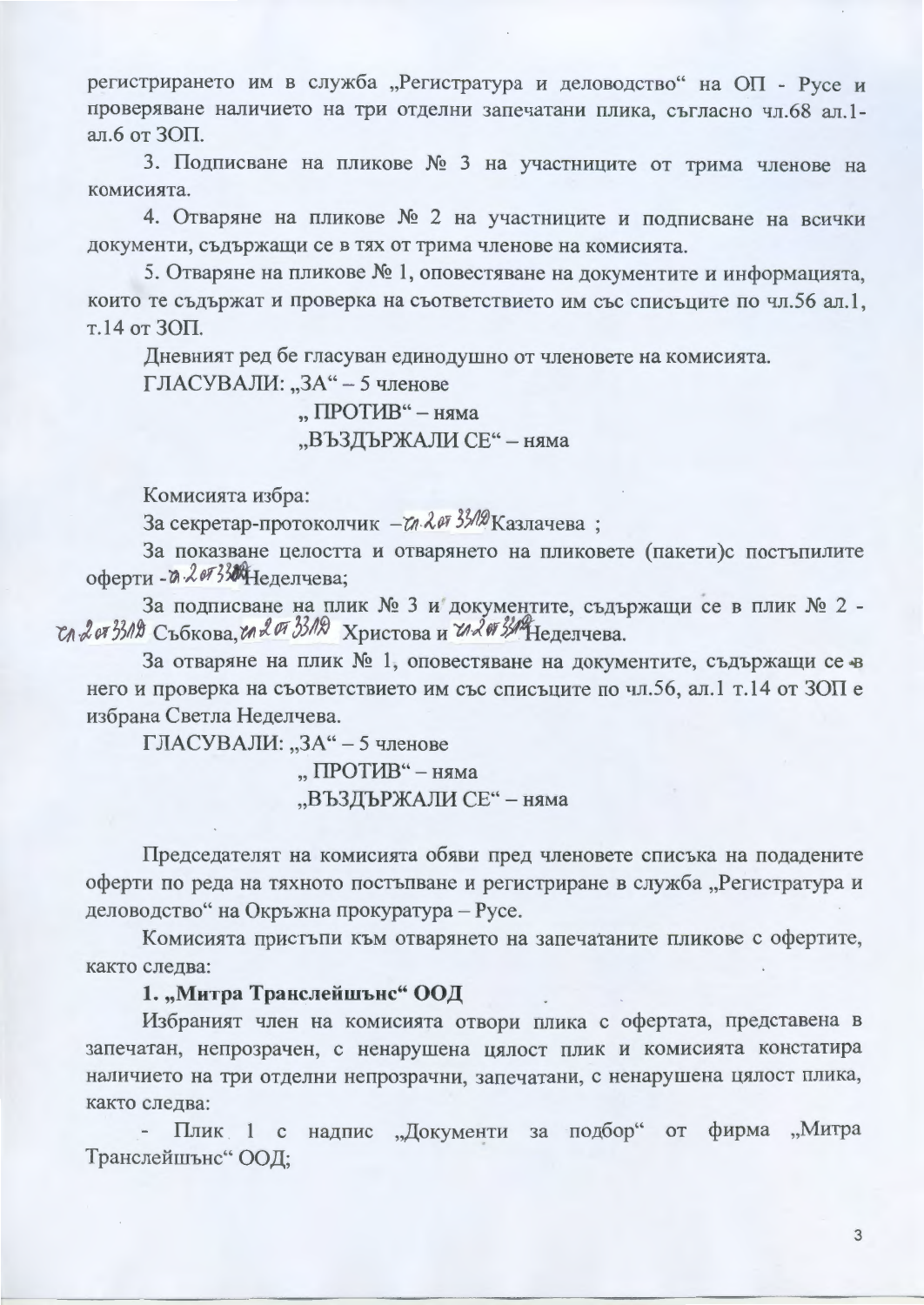регистрирането им в служба "Регистратура и деловодство" на ОП - Русе и проверяване наличието на три отделни запечатани плика, съгласно чл.68 ал.1ал.6 от ЗОП.

3. Подписване на пликове № 3 на участниците от трима членове на комисията.

4. Отваряне на пликове № 2 на участниците и подписване на всички документи, съдържащи се в тях от трима членове на комисията.

5. Отваряне на пликове № 1, оповестяване на документите и информацията, които те съдържат и проверка на съответствието им със списъците по чл.56 ал.1, т.14 от ЗОП.

Дневният ред бе гласуван единодушно от членовете на комисията.

ГЛАСУВАЛИ: "ЗА" - 5 членове

## "ПРОТИВ" – няма "ВЪЗДЪРЖАЛИ СЕ" - няма

Комисията избра:

За секретар-протоколчик - т. 2 от 33/12 Казлачева;

За показване целостта и отварянето на пликовете (пакети)с постъпилите оферти - д. 2073 ЖНеделчева;

За подписване на плик № 3 и документите, съдържащи се в плик № 2 -Сл. 2 от 3319 Събкова, гл. 2 07 33112 Христова и гл. 2 07 34 Неделчева.

За отваряне на плик № 1, оповестяване на документите, съдържащи се в него и проверка на съответствието им със списъците по чл.56, ал.1 т.14 от ЗОП е избрана Светла Неделчева.

ГЛАСУВАЛИ: "ЗА" - 5 членове

"ПРОТИВ" - няма "ВЪЗДЪРЖАЛИ СЕ" - няма

Председателят на комисията обяви пред членовете списъка на подадените оферти по реда на тяхното постъпване и регистриране в служба "Регистратура и деловодство" на Окръжна прокуратура - Русе.

Комисията пристъпи към отварянето на запечатаните пликове с офертите, както следва:

1. "Митра Транслейшънс" ООД

Избраният член на комисията отвори плика с офертата, представена в запечатан, непрозрачен, с ненарушена цялост плик и комисията констатира наличието на три отделни непрозрачни, запечатани, с ненарушена цялост плика, както следва:

Плик 1 с надпис "Документи за подбор" от фирма "Митра Транслейшънс" ООД;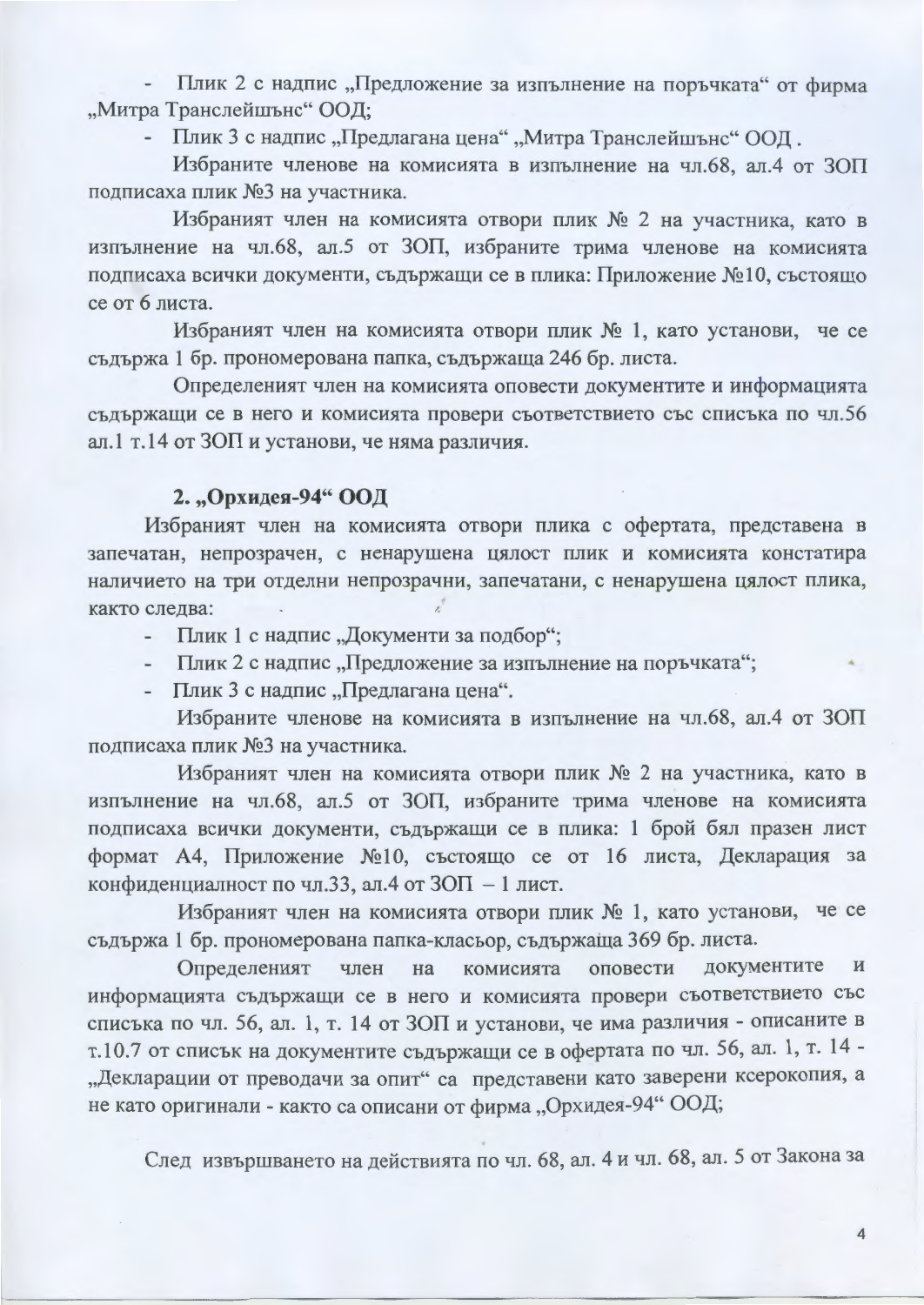Плик 2 с надпис "Предложение за изпълнение на поръчката" от фирма "Митра Транслейшънс" ООД;

Плик 3 с надпис "Предлагана цена" "Митра Транслейшънс" ООД.

Избраните членове на комисията в изпълнение на чл.68, ал.4 от ЗОП подписаха плик №3 на участника.

Избраният член на комисията отвори плик № 2 на участника, като в изпълнение на чл.68, ал.5 от ЗОП, избраните трима членове на комисията подписаха всички документи, съдържащи се в плика: Приложение №10, състоящо се от 6 листа.

Избраният член на комисията отвори плик № 1, като установи, че се съдържа 1 бр. прономерована папка, съдържаща 246 бр. листа.

Определеният член на комисията оповести документите и информацията съдържащи се в него и комисията провери съответствието със списъка по чл.56 ал.1 т.14 от ЗОП и установи, че няма различия.

## 2. "Орхидея-94" ООД

Избраният член на комисията отвори плика с офертата, представена в запечатан, непрозрачен, с ненарушена цялост плик и комисията констатира наличието на три отделни непрозрачни, запечатани, с ненарушена цялост плика, както следва:

- Плик 1 с надпис "Документи за подбор";

- Плик 2 с надпис "Предложение за изпълнение на поръчката";

- Плик 3 с надпис "Предлагана цена".

Избраните членове на комисията в изпълнение на чл.68, ал.4 от ЗОП подписаха плик №3 на участника.

Избраният член на комисията отвори плик № 2 на участника, като в изпълнение на чл.68, ал.5 от ЗОП, избраните трима членове на комисията подписаха всички документи, съдържащи се в плика: 1 брой бял празен лист формат А4, Приложение №10, състоящо се от 16 листа, Декларация за конфиденциалност по чл.33, ал.4 от  $3$ ОП - 1 лист.

Избраният член на комисията отвори плик № 1, като установи, че се съдържа 1 бр. прономерована папка-класьор, съдържаща 369 бр. листа.

документите  $\mathbf{M}$ Определеният член комисията оповести на информацията съдържащи се в него и комисията провери съответствието със списъка по чл. 56, ал. 1, т. 14 от ЗОП и установи, че има различия - описаните в т.10.7 от списък на документите съдържащи се в офертата по чл. 56, ал. 1, т. 14 -"Декларации от преводачи за опит" са представени като заверени ксерокопия, а не като оригинали - както са описани от фирма "Орхидея-94" ООД;

След извършването на действията по чл. 68, ал. 4 и чл. 68, ал. 5 от Закона за

 $\overline{4}$